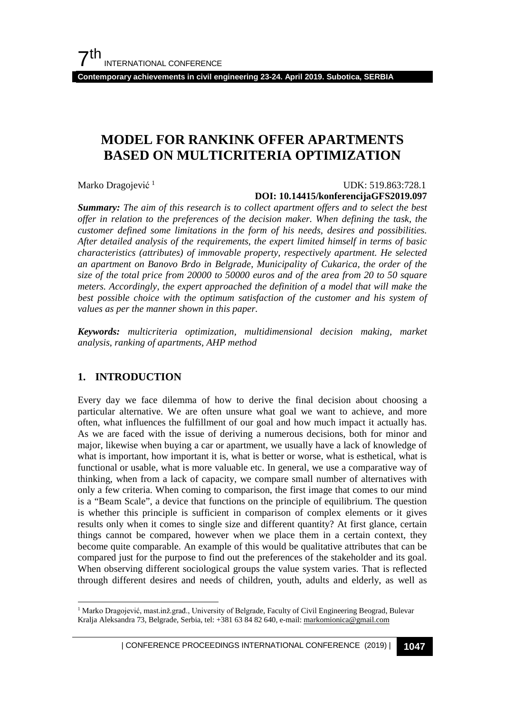**Contemporary achievements in civil engineering 23-24. April 2019. Subotica, SERBIA**

## **MODEL FOR RANKINK OFFER APARTMENTS BASED ON MULTICRITERIA OPTIMIZATION**

Marko Dragojević<sup>[1](#page-0-0)</sup>

#### UDK: 519.863:728.1 **DOI: 10.14415/konferencijaGFS2019.097**

*Summary: The aim of this research is to collect apartment offers and to select the best offer in relation to the preferences of the decision maker. When defining the task, the customer defined some limitations in the form of his needs, desires and possibilities. After detailed analysis of the requirements, the expert limited himself in terms of basic characteristics (attributes) of immovable property, respectively apartment. He selected an apartment on Banovo Brdo in Belgrade, Municipality of Cukarica, the order of the size of the total price from 20000 to 50000 euros and of the area from 20 to 50 square meters. Accordingly, the expert approached the definition of a model that will make the best possible choice with the optimum satisfaction of the customer and his system of values as per the manner shown in this paper.*

*Keywords: multicriteria optimization, multidimensional decision making, market analysis, ranking of apartments, AHP method*

## **1. INTRODUCTION**

Every day we face dilemma of how to derive the final decision about choosing a particular alternative. We are often unsure what goal we want to achieve, and more often, what influences the fulfillment of our goal and how much impact it actually has. As we are faced with the issue of deriving a numerous decisions, both for minor and major, likewise when buying a car or apartment, we usually have a lack of knowledge of what is important, how important it is, what is better or worse, what is esthetical, what is functional or usable, what is more valuable etc. In general, we use a comparative way of thinking, when from a lack of capacity, we compare small number of alternatives with only a few criteria. When coming to comparison, the first image that comes to our mind is a "Beam Scale", a device that functions on the principle of equilibrium. The question is whether this principle is sufficient in comparison of complex elements or it gives results only when it comes to single size and different quantity? At first glance, certain things cannot be compared, however when we place them in a certain context, they become quite comparable. An example of this would be qualitative attributes that can be compared just for the purpose to find out the preferences of the stakeholder and its goal. When observing different sociological groups the value system varies. That is reflected through different desires and needs of children, youth, adults and elderly, as well as

<span id="page-0-0"></span><sup>&</sup>lt;sup>1</sup> Marko Dragojević, mast.inž.građ., University of Belgrade, Faculty of Civil Engineering Beograd, Bulevar Kralja Aleksandra 73, Belgrade, Serbia, tel: +381 63 84 82 640, e-mail[: markomionica@gmail.com](mailto:markomionica@gmail.com)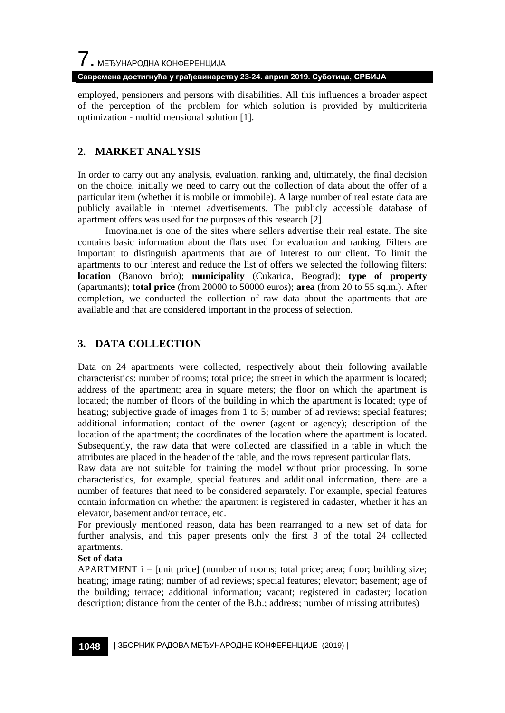**Савремена достигнућа у грађевинарству 23-24. април 2019. Суботица, СРБИЈА**

employed, pensioners and persons with disabilities. All this influences a broader aspect of the perception of the problem for which solution is provided by multicriteria optimization - multidimensional solutio[n \[1\].](#page-9-0)

## **2. MARKET ANALYSIS**

In order to carry out any analysis, evaluation, ranking and, ultimately, the final decision on the choice, initially we need to carry out the collection of data about the offer of a particular item (whether it is mobile or immobile). A large number of real estate data are publicly available in internet advertisements. The publicly accessible database of apartment offers was used for the purposes of this research [\[2\].](#page-9-1)

Imovina.net is one of the sites where sellers advertise their real estate. The site contains basic information about the flats used for evaluation and ranking. Filters are important to distinguish apartments that are of interest to our client. To limit the apartments to our interest and reduce the list of offers we selected the following filters: **location** (Banovo brdo); **municipality** (Cukarica, Beograd); **type of property** (apartmants); **total price** (from 20000 to 50000 euros); **area** (from 20 to 55 sq.m.). After completion, we conducted the collection of raw data about the apartments that are available and that are considered important in the process of selection.

## **3. DATA COLLECTION**

Data on 24 apartments were collected, respectively about their following available characteristics: number of rooms; total price; the street in which the apartment is located; address of the apartment; area in square meters; the floor on which the apartment is located; the number of floors of the building in which the apartment is located; type of heating; subjective grade of images from 1 to 5; number of ad reviews; special features; additional information; contact of the owner (agent or agency); description of the location of the apartment; the coordinates of the location where the apartment is located. Subsequently, the raw data that were collected are classified in a table in which the attributes are placed in the header of the table, and the rows represent particular flats.

Raw data are not suitable for training the model without prior processing. In some characteristics, for example, special features and additional information, there are a number of features that need to be considered separately. For example, special features contain information on whether the apartment is registered in cadaster, whether it has an elevator, basement and/or terrace, etc.

For previously mentioned reason, data has been rearranged to a new set of data for further analysis, and this paper presents only the first 3 of the total 24 collected apartments.

#### **Set of data**

APARTMENT  $i =$  [unit price] (number of rooms; total price; area; floor; building size; heating; image rating; number of ad reviews; special features; elevator; basement; age of the building; terrace; additional information; vacant; registered in cadaster; location description; distance from the center of the B.b.; address; number of missing attributes)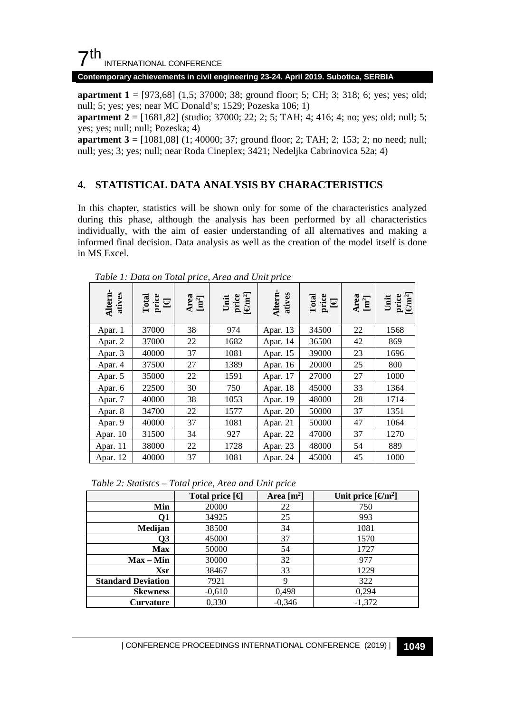## $7<sup>th</sup>$ INTERNATIONAL CONFERENCE

#### **Contemporary achievements in civil engineering 23-24. April 2019. Subotica, SERBIA**

**apartment 1** = [973,68] (1,5; 37000; 38; ground floor; 5; CH; 3; 318; 6; yes; yes; old; null; 5; yes; yes; near MC Donald's; 1529; Pozeska 106; 1)

**apartment 2** = [1681,82] (studio; 37000; 22; 2; 5; TAH; 4; 416; 4; no; yes; old; null; 5; yes; yes; null; null; Pozeska; 4)

**apartment 3** = [1081,08] (1; 40000; 37; ground floor; 2; TAH; 2; 153; 2; no need; null; null; yes; 3; yes; null; near Roda Cineplex; 3421; Nedeljka Cabrinovica 52a; 4)

#### **4. STATISTICAL DATA ANALYSIS BY CHARACTERISTICS**

In this chapter, statistics will be shown only for some of the characteristics analyzed during this phase, although the analysis has been performed by all characteristics individually, with the aim of easier understanding of all alternatives and making a informed final decision. Data analysis as well as the creation of the model itself is done in MS Excel.

| Altern-<br>atives | $\begin{array}{c} \hbox{\tt real} \\ \hbox{\tt price} \\ \hbox{\tt Re} \end{array}$ | Area<br>$\left[\text{m}^2\right]$ | Unit<br>price<br>$[\Theta m^2]$ | Altern-<br>atives | $\begin{array}{ll} \hbox{\tt\footnotesize Total} \\ \hbox{\tt\footnotesize prior} \\ \hbox{\tt\footnotesize He} \\ \hbox{\tt\footnotesize He} \end{array}$ | Area<br>$[\mathbf{m}^2]$ | Unit<br>price<br>$[\Theta \text{m}^2]$ |
|-------------------|-------------------------------------------------------------------------------------|-----------------------------------|---------------------------------|-------------------|------------------------------------------------------------------------------------------------------------------------------------------------------------|--------------------------|----------------------------------------|
| Apar. 1           | 37000                                                                               | 38                                | 974                             | Apar. 13          | 34500                                                                                                                                                      | 22                       | 1568                                   |
| Apar. 2           | 37000                                                                               | 22                                | 1682                            | Apar. 14          | 36500                                                                                                                                                      | 42                       | 869                                    |
| Apar. 3           | 40000                                                                               | 37                                | 1081                            | Apar. 15          | 39000                                                                                                                                                      | 23                       | 1696                                   |
| Apar. 4           | 37500                                                                               | 27                                | 1389                            | Apar. 16          | 20000                                                                                                                                                      | 25                       | 800                                    |
| Apar. 5           | 35000                                                                               | 22                                | 1591                            | Apar. 17          | 27000                                                                                                                                                      | 27                       | 1000                                   |
| Apar. 6           | 22500                                                                               | 30                                | 750                             | Apar. 18          | 45000                                                                                                                                                      | 33                       | 1364                                   |
| Apar. 7           | 40000                                                                               | 38                                | 1053                            | Apar. 19          | 48000                                                                                                                                                      | 28                       | 1714                                   |
| Apar. 8           | 34700                                                                               | 22                                | 1577                            | Apar. 20          | 50000                                                                                                                                                      | 37                       | 1351                                   |
| Apar. 9           | 40000                                                                               | 37                                | 1081                            | Apar. 21          | 50000                                                                                                                                                      | 47                       | 1064                                   |
| Apar. 10          | 31500                                                                               | 34                                | 927                             | Apar. 22          | 47000                                                                                                                                                      | 37                       | 1270                                   |
| Apar. 11          | 38000                                                                               | 22                                | 1728                            | Apar. 23          | 48000                                                                                                                                                      | 54                       | 889                                    |
| Apar. 12          | 40000                                                                               | 37                                | 1081                            | Apar. 24          | 45000                                                                                                                                                      | 45                       | 1000                                   |

*Table 1: Data on Total price, Area and Unit price*

*Table 2: Statistcs – Total price, Area and Unit price*

|                           | Total price $\lceil \in \rceil$ | Area $[m^2]$ | Unit price $\lceil \Theta m^2 \rceil$ |
|---------------------------|---------------------------------|--------------|---------------------------------------|
| Min                       | 20000                           | 22           | 750                                   |
| 01                        | 34925                           | 25           | 993                                   |
| Medijan                   | 38500                           | 34           | 1081                                  |
| О3                        | 45000                           | 37           | 1570                                  |
| <b>Max</b>                | 50000                           | 54           | 1727                                  |
| $Max - Min$               | 30000                           | 32           | 977                                   |
| <b>Xsr</b>                | 38467                           | 33           | 1229                                  |
| <b>Standard Deviation</b> | 7921                            | 9            | 322                                   |
| <b>Skewness</b>           | $-0.610$                        | 0,498        | 0,294                                 |
| Curvature                 | 0,330                           | $-0,346$     | $-1,372$                              |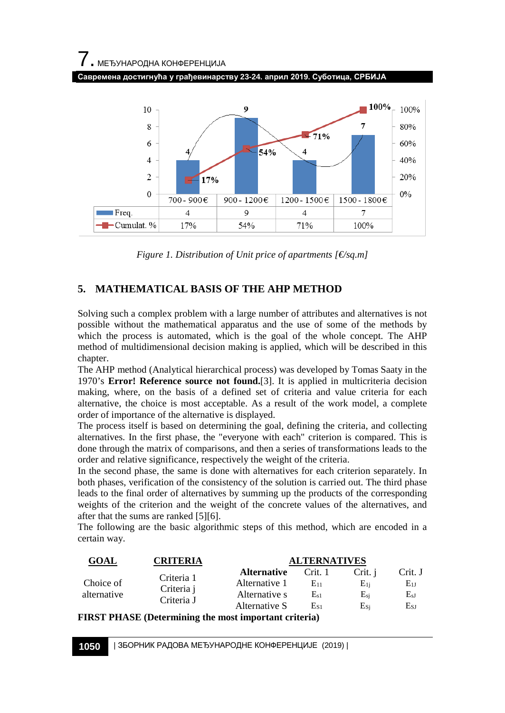# 7. МЕЂУНАРОДНА КОНФЕРЕНЦИЈА **Савремена достигнућа у грађевинарству 23-24. април 2019. Суботица, СРБИЈА**



*Figure 1. Distribution of Unit price of apartments [€/sq.m]*

## **5. MATHEMATICAL BASIS OF THE AHP METHOD**

Solving such a complex problem with a large number of attributes and alternatives is not possible without the mathematical apparatus and the use of some of the methods by which the process is automated, which is the goal of the whole concept. The AHP method of multidimensional decision making is applied, which will be described in this chapter.

The AHP method (Analytical hierarchical process) was developed by Tomas Saaty in the 1970's **Error! Reference source not found.**[\[3\].](#page-9-2) It is applied in multicriteria decision making, where, on the basis of a defined set of criteria and value criteria for each alternative, the choice is most acceptable. As a result of the work model, a complete order of importance of the alternative is displayed.

The process itself is based on determining the goal, defining the criteria, and collecting alternatives. In the first phase, the "everyone with each" criterion is compared. This is done through the matrix of comparisons, and then a series of transformations leads to the order and relative significance, respectively the weight of the criteria.

In the second phase, the same is done with alternatives for each criterion separately. In both phases, verification of the consistency of the solution is carried out. The third phase leads to the final order of alternatives by summing up the products of the corresponding weights of the criterion and the weight of the concrete values of the alternatives, and after that the sums are ranked [\[5\]](#page-9-3)[\[6\].](#page-9-4)

The following are the basic algorithmic steps of this method, which are encoded in a certain way.

| <b>GOAL</b>              | CRITERIA   | <b>ALTERNATIVES</b> |          |          |          |  |  |
|--------------------------|------------|---------------------|----------|----------|----------|--|--|
| Choice of<br>alternative | Criteria 1 | <b>Alternative</b>  | Crit. 1  | Crit. i  | Crit. J  |  |  |
|                          | Criteria i | Alternative 1       | E11      | E1i      | $E_{1J}$ |  |  |
|                          | Criteria J | Alternative s       | $E_{s1}$ | $E_{si}$ | $E_{sJ}$ |  |  |
|                          |            | Alternative S       | Es1      | Esi      | Esj      |  |  |

**FIRST PHASE (Determining the most important criteria)**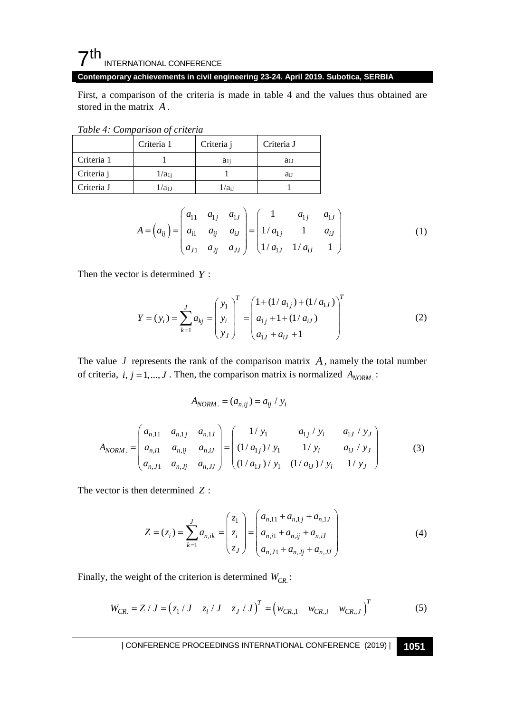## $7<sup>th</sup>$ INTERNATIONAL CONFERENCE

**Contemporary achievements in civil engineering 23-24. April 2019. Subotica, SERBIA**

First, a comparison of the criteria is made in table 4 and the values thus obtained are stored in the matrix *A* .

*Table 4: Comparison of criteria* 

|            | Criteria 1 | Criteria j | Criteria J |
|------------|------------|------------|------------|
| Criteria 1 |            | $a_{1i}$   | $a_{1J}$   |
| Criteria j | $1/a_{1i}$ |            | ai I       |
| Criteria J | 1/a11      | $1/a_{iJ}$ |            |

$$
A = (a_{ij}) = \begin{pmatrix} a_{11} & a_{1j} & a_{1J} \\ a_{i1} & a_{ij} & a_{iJ} \\ a_{j1} & a_{jj} & a_{jJ} \end{pmatrix} = \begin{pmatrix} 1 & a_{1j} & a_{1J} \\ 1/a_{1j} & 1 & a_{iJ} \\ 1/a_{1J} & 1/a_{iJ} & 1 \end{pmatrix}
$$
(1)

Then the vector is determined *Y* :

$$
Y = (y_i) = \sum_{k=1}^{J} a_{kj} = \begin{pmatrix} y_1 \\ y_i \\ y_J \end{pmatrix}^T = \begin{pmatrix} 1 + (1/a_{1j}) + (1/a_{1J}) \\ a_{1j} + 1 + (1/a_{iJ}) \\ a_{1J} + a_{iJ} + 1 \end{pmatrix}^T
$$
(2)

The value  $J$  represents the rank of the comparison matrix  $A$ , namely the total number of criteria,  $i, j = 1, \ldots, J$ . Then, the comparison matrix is normalized  $A_{NORM}$ .

$$
A_{NORM.} = (a_{n,ij}) = a_{ij} / y_i
$$

$$
A_{NORM.} = \begin{pmatrix} a_{n,11} & a_{n,1j} & a_{n,1J} \\ a_{n,i1} & a_{n,ij} & a_{n,iJ} \\ a_{n,11} & a_{n,ij} & a_{n,IJ} \end{pmatrix} = \begin{pmatrix} 1/y_1 & a_{1j}/y_i & a_{1J}/y_J \\ (1/a_{1j})/y_1 & 1/y_i & a_{iJ}/y_J \\ (1/a_{1J})/y_1 & (1/a_{iJ})/y_i & 1/y_J \end{pmatrix}
$$
(3)

The vector is then determined *Z* :

$$
Z = (z_i) = \sum_{k=1}^{J} a_{n,ik} = \begin{pmatrix} z_1 \\ z_i \\ z_J \end{pmatrix} = \begin{pmatrix} a_{n,11} + a_{n,1j} + a_{n,1J} \\ a_{n,i1} + a_{n,ij} + a_{n,iJ} \\ a_{n,11} + a_{n,j1} + a_{n,1J} \end{pmatrix}
$$
(4)

Finally, the weight of the criterion is determined  $W_{CR}$ :

$$
W_{CR.} = Z / J = (z_1 / J - z_i / J - z_J / J)^T = (w_{CR,1} - w_{CR,i} - w_{CR,J})^T
$$
 (5)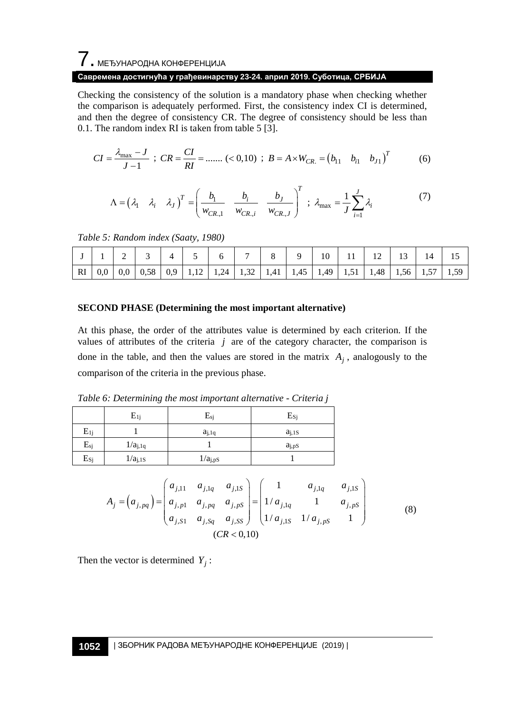# $\overline{7}$ . МЕЂУНАРОДНА КОНФЕРЕНЦИЈА

#### **Савремена достигнућа у грађевинарству 23-24. април 2019. Суботица, СРБИЈА**

Checking the consistency of the solution is a mandatory phase when checking whether the comparison is adequately performed. First, the consistency index CI is determined, and then the degree of consistency CR. The degree of consistency should be less than 0.1. The random index RI is taken from table 5 [\[3\].](#page-9-2)

$$
CI = \frac{\lambda_{\text{max}} - J}{J - 1} \; ; \; CR = \frac{CI}{RI} = \dots \; (<0, 10) \; ; \; B = A \times W_{CR.} = (b_{11} \quad b_{i1} \quad b_{j1})^T \tag{6}
$$

$$
\Lambda = \begin{pmatrix} \lambda_1 & \lambda_i & \lambda_J \end{pmatrix}^T = \begin{pmatrix} b_1 & b_i & b_J \\ w_{CR,1} & w_{CR,i} & w_{CR,J} \end{pmatrix}^T ; \lambda_{\text{max}} = \frac{1}{J} \sum_{i=1}^J \lambda_i
$$
 (7)

*Table 5: Random index (Saaty, 1980)*

|  |  |  |  |  | 10 | 12 |                                                                                                          | 14 |  |
|--|--|--|--|--|----|----|----------------------------------------------------------------------------------------------------------|----|--|
|  |  |  |  |  |    |    | RI   0,0   0,0   0,58   0,9   1,12   1,24   1,32   1,41   1,45   1,49   1,51   1,48   1,56   1,57   1,59 |    |  |

#### **SECOND PHASE (Determining the most important alternative)**

At this phase, the order of the attributes value is determined by each criterion. If the values of attributes of the criteria  $j$  are of the category character, the comparison is done in the table, and then the values are stored in the matrix  $A_j$ , analogously to the comparison of the criteria in the previous phase.

| Table 6: Determining the most important alternative - Criteria j |  |  |  |
|------------------------------------------------------------------|--|--|--|
|------------------------------------------------------------------|--|--|--|

|                   | $E_{1i}$            | $E_{si}$            | $E_{S_i}$          |
|-------------------|---------------------|---------------------|--------------------|
| $E_{1j}$          |                     | $a_{j,1q}$          | $a_{i,1S}$         |
| $\mathbf{E}_{sj}$ | $1/a_{j,1q}$        |                     | a <sub>j, pS</sub> |
| $E_{Sj}$          | 1/a <sub>j,1S</sub> | 1/a <sub>j,ps</sub> |                    |

$$
A_{j} = (a_{j, pq}) = \begin{pmatrix} a_{j,11} & a_{j,1q} & a_{j,1s} \\ a_{j,p1} & a_{j,pq} & a_{j,ps} \\ a_{j,51} & a_{j,5q} & a_{j,5s} \end{pmatrix} = \begin{pmatrix} 1 & a_{j,1q} & a_{j,1s} \\ 1/a_{j,1q} & 1 & a_{j,ps} \\ 1/a_{j,1s} & 1/a_{j,ps} & 1 \end{pmatrix}
$$
(8)

Then the vector is determined  $Y_i$ :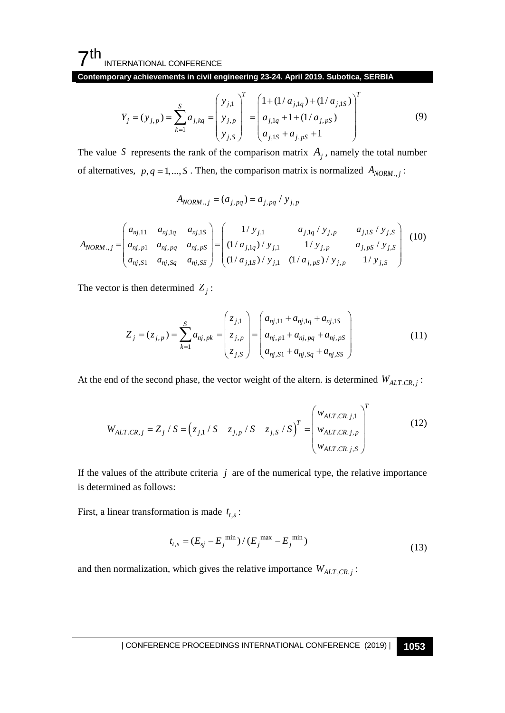7th INTERNATIONAL CONFERENCE

**Contemporary achievements in civil engineering 23-24. April 2019. Subotica, SERBIA**

$$
Y_j = (y_{j,p}) = \sum_{k=1}^{S} a_{j,kq} = \begin{pmatrix} y_{j,1} \\ y_{j,p} \\ y_{j,S} \end{pmatrix}^T = \begin{pmatrix} 1 + (1/a_{j,1q}) + (1/a_{j,1S}) \\ a_{j,1q} + 1 + (1/a_{j,PS}) \\ a_{j,1S} + a_{j,PS} + 1 \end{pmatrix}^T
$$
(9)

The value *S* represents the rank of the comparison matrix  $A_j$ , namely the total number of alternatives,  $p, q = 1, \ldots, S$ . Then, the comparison matrix is normalized  $A_{NORM, j}$ :

$$
A_{NORM.,j} = (a_{j,pq}) = a_{j,pq} / y_{j,p}
$$

$$
A_{NORM..j} = \begin{pmatrix} a_{nj,11} & a_{nj,1q} & a_{nj,1s} \\ a_{nj,p1} & a_{nj,pq} & a_{nj,ps} \\ a_{nj,51} & a_{nj,5q} & a_{nj,5s} \end{pmatrix} = \begin{pmatrix} 1/y_{j,1} & a_{j,1q}/y_{j,p} & a_{j,1s}/y_{j,s} \\ (1/a_{j,1q})/y_{j,1} & 1/y_{j,p} & a_{j,ps}/y_{j,s} \\ (1/a_{j,1s})/y_{j,1} & (1/a_{j,ps})/y_{j,p} & 1/y_{j,s} \end{pmatrix}
$$
(10)

The vector is then determined  $Z_i$ :

$$
Z_{j} = (z_{j,p}) = \sum_{k=1}^{S} a_{nj,pk} = \begin{pmatrix} z_{j,1} \\ z_{j,p} \\ z_{j,S} \end{pmatrix} = \begin{pmatrix} a_{nj,11} + a_{nj,1q} + a_{nj,1S} \\ a_{nj,p1} + a_{nj,pq} + a_{nj,pS} \\ a_{nj,SI} + a_{nj,sq} + a_{nj,SS} \end{pmatrix}
$$
(11)

At the end of the second phase, the vector weight of the altern. is determined  $W_{ALT,CR, j}$ :

$$
W_{ALT.CR,j} = Z_j / S = (z_{j,1} / S - z_{j,p} / S - z_{j,S} / S)^T = \begin{pmatrix} w_{ALT.CR,j,1} \\ w_{ALT.CR,j,p} \\ w_{ALT.CR,j,s} \end{pmatrix}^T
$$
(12)

If the values of the attribute criteria  $j$  are of the numerical type, the relative importance is determined as follows:

First, a linear transformation is made  $t_{t,s}$ :

$$
t_{t,s} = (E_{sj} - E_j^{\min}) / (E_j^{\max} - E_j^{\min})
$$
\n(13)

and then normalization, which gives the relative importance  $W_{ALT, CR, j}$ :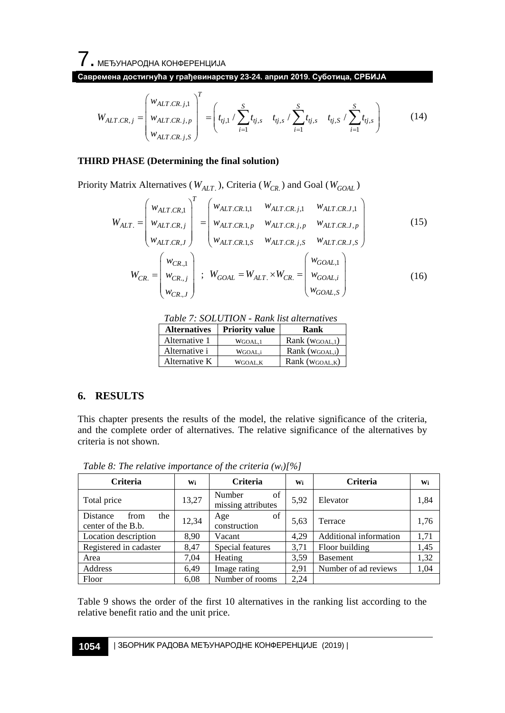7. МЕЂУНАРОДНА КОНФЕРЕНЦИЈА

**Савремена достигнућа у грађевинарству 23-24. април 2019. Суботица, СРБИЈА**

$$
W_{ALT.CR,j} = \begin{pmatrix} w_{ALT.CR,j,1} \\ w_{ALT.CR,j,p} \\ w_{ALT.CR,j,S} \end{pmatrix}^{T} = \begin{pmatrix} s & t_{ij,s} / \sum_{i=1}^{S} t_{ij,s} & t_{ij,s} / \sum_{i=1}^{S} t_{ij,s} & t_{ij,S} / \sum_{i=1}^{S} t_{ij,s} \end{pmatrix}
$$
(14)

#### **THIRD PHASE (Determining the final solution)**

Priority Matrix Alternatives ( $W_{ALT}$ ), Criteria ( $W_{CR}$ ) and Goal ( $W_{GOAL}$ )

$$
W_{ALT.} = \begin{pmatrix} w_{ALT.CR,1} \\ w_{ALT.CR, j} \\ w_{ALT.CR, j} \end{pmatrix}^{T} = \begin{pmatrix} w_{ALT.CR.1,1} & w_{ALT.CR. j,1} & w_{ALT.CR. J,1} \\ w_{ALT.CR.1, p} & w_{ALT.CR. j, p} & w_{ALT.CR. J, p} \\ w_{ALT.CR. 1, S} & w_{ALT.CR. j, S} & w_{ALT.CR. J, S} \end{pmatrix}
$$
(15)  

$$
W_{CR.} = \begin{pmatrix} w_{CR,1} \\ w_{CR, j} \\ w_{CR, j} \end{pmatrix} ; W_{GOAL} = W_{ALT.} \times W_{CR.} = \begin{pmatrix} w_{GOAL,1} \\ w_{GOAL, i} \\ w_{GOAL, S} \end{pmatrix}
$$
(16)

*Table 7: SOLUTION - Rank list alternatives*

| <b>Alternatives</b> | <b>Priority value</b> | Rank               |
|---------------------|-----------------------|--------------------|
| Alternative 1       | WGOAL.1               | Rank (WGOAL,1)     |
| Alternative i       | WGOAL <sub>i</sub>    | Rank (WGOAL,i)     |
| Alternative K       | WGOAL.K               | Rank ( $WGOAL,K$ ) |

## **6. RESULTS**

This chapter presents the results of the model, the relative significance of the criteria, and the complete order of alternatives. The relative significance of the alternatives by criteria is not shown.

| Criteria                                      | Wi    | <b>Criteria</b>                    | Wi   | Criteria               | Wi   |
|-----------------------------------------------|-------|------------------------------------|------|------------------------|------|
| Total price                                   | 13,27 | of<br>Number<br>missing attributes | 5,92 | Elevator               | 1,84 |
| Distance<br>the<br>from<br>center of the B.b. | 12,34 | of<br>Age<br>construction          | 5,63 | Terrace                | 1,76 |
| Location description                          | 8.90  | Vacant                             | 4,29 | Additional information | 1,71 |
| Registered in cadaster                        | 8,47  | Special features                   | 3,71 | Floor building         | 1,45 |
| Area                                          | 7,04  | Heating                            | 3,59 | <b>Basement</b>        | 1,32 |
| Address                                       | 6,49  | Image rating                       | 2,91 | Number of ad reviews   | 1,04 |
| Floor                                         | 6,08  | Number of rooms                    | 2,24 |                        |      |

*Table 8: The relative importance of the criteria (wi)[%]*

Table 9 shows the order of the first 10 alternatives in the ranking list according to the relative benefit ratio and the unit price.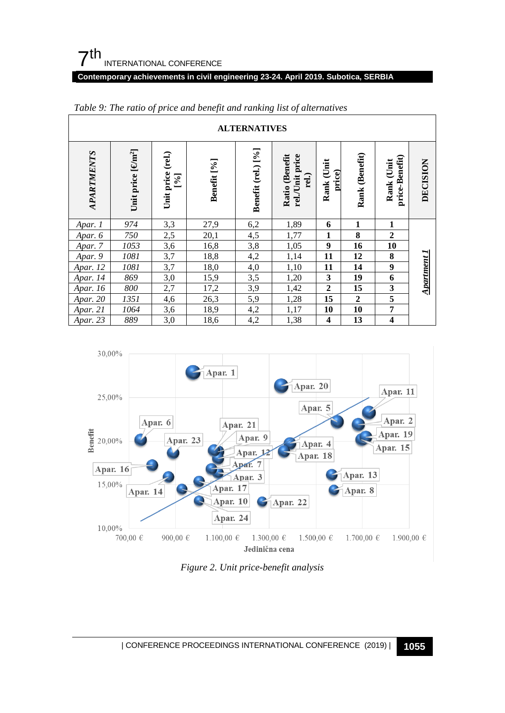## 7th INTERNATIONAL CONFERENCE

#### **Contemporary achievements in civil engineering 23-24. April 2019. Subotica, SERBIA**

| <b>ALTERNATIVES</b> |                               |                                                             |             |                    |                                            |                      |                   |                                |             |  |  |
|---------------------|-------------------------------|-------------------------------------------------------------|-------------|--------------------|--------------------------------------------|----------------------|-------------------|--------------------------------|-------------|--|--|
| <b>APARTMENTS</b>   | Unit price [cm <sup>2</sup> ] | $_{\rm (rel.)}$<br>Unit price<br>$\left[\frac{1}{2}\right]$ | Benefit [%] | Benefit (rel.) [%] | rel./Unit price<br>Ratio (Benefit<br>rel.) | Rank (Unit<br>price) | (Benefit)<br>Rank | price-Benefit)<br>Unit<br>Rank | DECISION    |  |  |
| Apar. 1             | 974                           | 3,3                                                         | 27,9        | 6,2                | 1,89                                       | 6                    | 1                 | 1                              |             |  |  |
| Apar. 6             | 750                           | 2,5                                                         | 20,1        | 4,5                | 1,77                                       | $\mathbf{1}$         | 8                 | $\overline{2}$                 |             |  |  |
| Apar. 7             | 1053                          | 3,6                                                         | 16,8        | 3,8                | 1,05                                       | 9                    | 16                | 10                             |             |  |  |
| Apar. 9             | 1081                          | 3,7                                                         | 18,8        | 4,2                | 1,14                                       | 11                   | 12                | 8                              |             |  |  |
| Apar. 12            | 1081                          | 3,7                                                         | 18,0        | 4,0                | 1,10                                       | 11                   | 14                | 9                              |             |  |  |
| Apar. 14            | 869                           | 3,0                                                         | 15,9        | 3,5                | 1,20                                       | $\mathbf{3}$         | 19                | 6                              |             |  |  |
| Apar. 16            | $800\,$                       | 2,7                                                         | 17,2        | 3,9                | 1,42                                       | $\overline{2}$       | 15                | 3                              | Apartment 1 |  |  |
| Apar. 20            | 1351                          | 4,6                                                         | 26,3        | 5,9                | 1,28                                       | 15                   | $\overline{2}$    | $\overline{\mathbf{5}}$        |             |  |  |
| Apar. 21            | 1064                          | 3,6                                                         | 18,9        | 4,2                | 1,17                                       | 10                   | 10                | $\overline{7}$                 |             |  |  |
| Apar. 23            | 889                           | 3,0                                                         | 18,6        | 4,2                | 1,38                                       | 4                    | 13                | $\overline{\mathbf{4}}$        |             |  |  |

*Table 9: The ratio of price and benefit and ranking list of alternatives*



*Figure 2. Unit price-benefit analysis*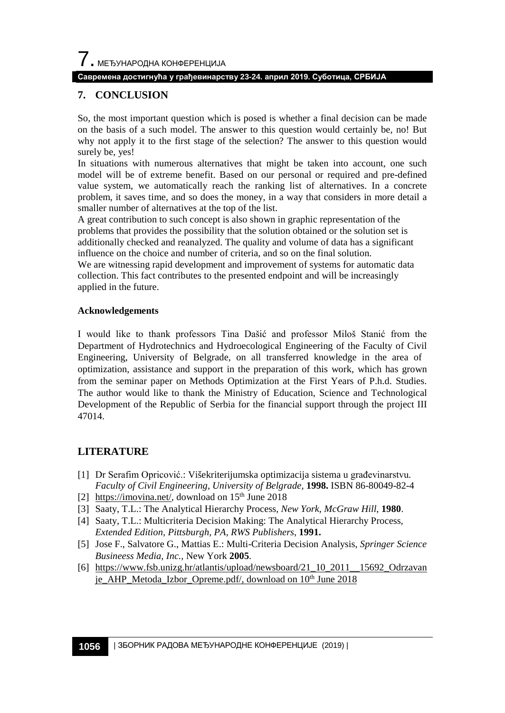$\overline{\phantom{a}}$ . МЕЂУНАРОДНА КОНФЕРЕНЦИЈА

#### **Савремена достигнућа у грађевинарству 23-24. април 2019. Суботица, СРБИЈА**

## **7. CONCLUSION**

So, the most important question which is posed is whether a final decision can be made on the basis of a such model. The answer to this question would certainly be, no! But why not apply it to the first stage of the selection? The answer to this question would surely be, yes!

In situations with numerous alternatives that might be taken into account, one such model will be of extreme benefit. Based on our personal or required and pre-defined value system, we automatically reach the ranking list of alternatives. In a concrete problem, it saves time, and so does the money, in a way that considers in more detail a smaller number of alternatives at the top of the list.

A great contribution to such concept is also shown in graphic representation of the problems that provides the possibility that the solution obtained or the solution set is additionally checked and reanalyzed. The quality and volume of data has a significant influence on the choice and number of criteria, and so on the final solution.

We are witnessing rapid development and improvement of systems for automatic data collection. This fact contributes to the presented endpoint and will be increasingly applied in the future.

#### **Acknowledgements**

I would like to thank professors Tina Dašić and professor Miloš Stanić from the Department of Hydrotechnics and Hydroecological Engineering of the Faculty of Civil Engineering, University of Belgrade, on all transferred knowledge in the area of optimization, assistance and support in the preparation of this work, which has grown from the seminar paper on Methods Optimization at the First Years of P.h.d. Studies. The author would like to thank the Ministry of Education, Science and Technological Development of the Republic of Serbia for the financial support through the project III 47014.

## **LITERATURE**

- <span id="page-9-0"></span>[1] Dr Serafim Opricović.: Višekriterijumska optimizacija sistema u građevinarstvu. *Faculty of Civil Engineering, University of Belgrade,* **1998.** ISBN 86-80049-82-4
- <span id="page-9-1"></span>[2] [https://imovina.net/,](https://imovina.net/) download on  $15<sup>th</sup>$  June 2018
- <span id="page-9-2"></span>[3] Saaty, T.L.: The Analytical Hierarchy Process*, New York, McGraw Hill*, **1980**.
- [4] Saaty, T.L.: Multicriteria Decision Making: The Analytical Hierarchy Process*, Extended Edition, Pittsburgh, PA, RWS Publishers,* **1991.**
- <span id="page-9-3"></span>[5] Jose F., Salvatore G., Mattias E.: Multi-Criteria Decision Analysis, *Springer Science Busineess Media, Inc.,* New York **2005**.
- <span id="page-9-4"></span>[6] [https://www.fsb.unizg.hr/atlantis/upload/newsboard/21\\_10\\_2011\\_\\_15692\\_Odrzavan](https://www.fsb.unizg.hr/atlantis/upload/newsboard/21_10_2011__15692_Odrzavanje_AHP_Metoda_Izbor_Opreme.pdf/) [je\\_AHP\\_Metoda\\_Izbor\\_Opreme.pdf/,](https://www.fsb.unizg.hr/atlantis/upload/newsboard/21_10_2011__15692_Odrzavanje_AHP_Metoda_Izbor_Opreme.pdf/) download on 10<sup>th</sup> June 2018